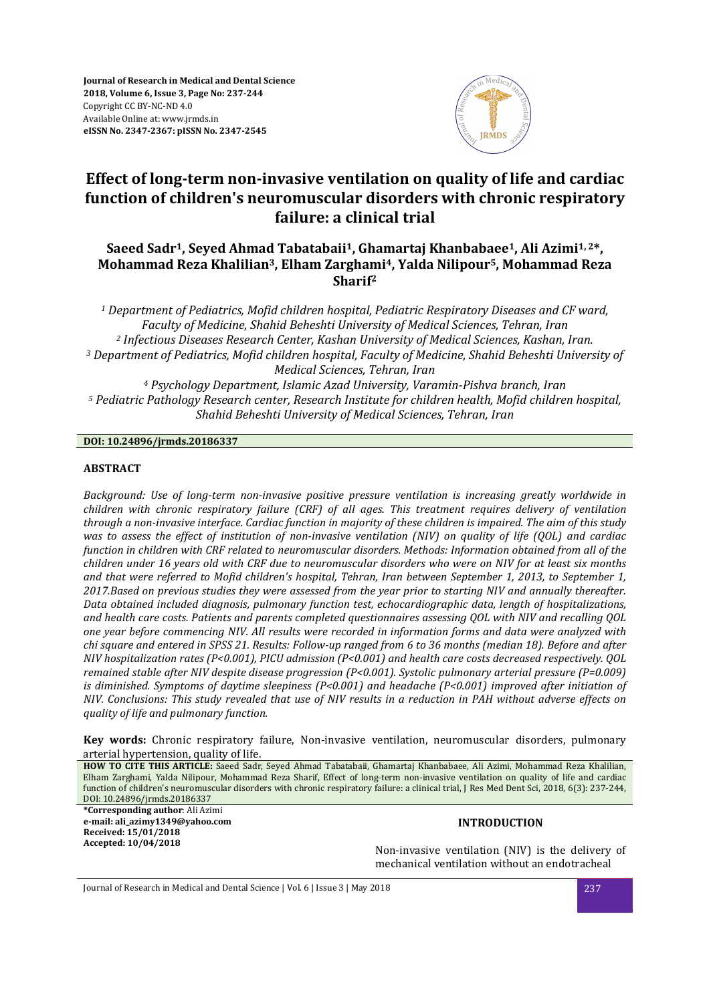

# **Effect of long-term non-invasive ventilation on quality of life and cardiac function of children's neuromuscular disorders with chronic respiratory failure: a clinical trial**

## **Saeed Sadr<sup>1</sup>, Seyed Ahmad Tabatabaii<sup>1</sup>, Ghamartaj Khanbabaee<sup>1</sup>, Ali Azimi1, 2\*, Mohammad Reza Khalilian<sup>3</sup>, Elham Zarghami<sup>4</sup>, Yalda Nilipour<sup>5</sup>, Mohammad Reza Sharif<sup>2</sup>**

 *Department of Pediatrics, Mofid children hospital, Pediatric Respiratory Diseases and CF ward, Faculty of Medicine, Shahid Beheshti University of Medical Sciences, Tehran, Iran Infectious Diseases Research Center, Kashan University of Medical Sciences, Kashan, Iran. Department of Pediatrics, Mofid children hospital, Faculty of Medicine, Shahid Beheshti University of Medical Sciences, Tehran, Iran Psychology Department, Islamic Azad University, Varamin-Pishva branch, Iran Pediatric Pathology Research center, Research Institute for children health, Mofid children hospital, Shahid Beheshti University of Medical Sciences, Tehran, Iran* 

### **DOI: 10.24896/jrmds.20186337**

### **ABSTRACT**

*Background: Use of long-term non-invasive positive pressure ventilation is increasing greatly worldwide in children with chronic respiratory failure (CRF) of all ages. This treatment requires delivery of ventilation through a non-invasive interface. Cardiac function in majority of these children is impaired. The aim of this study was to assess the effect of institution of non-invasive ventilation (NIV) on quality of life (QOL) and cardiac function in children with CRF related to neuromuscular disorders. Methods: Information obtained from all of the children under 16 years old with CRF due to neuromuscular disorders who were on NIV for at least six months and that were referred to Mofid children's hospital, Tehran, Iran between September 1, 2013, to September 1, 2017.Based on previous studies they were assessed from the year prior to starting NIV and annually thereafter. Data obtained included diagnosis, pulmonary function test, echocardiographic data, length of hospitalizations, and health care costs. Patients and parents completed questionnaires assessing QOL with NIV and recalling QOL one year before commencing NIV. All results were recorded in information forms and data were analyzed with chi square and entered in SPSS 21. Results: Follow-up ranged from 6 to 36 months (median 18). Before and after NIV hospitalization rates (P<0.001), PICU admission (P<0.001) and health care costs decreased respectively. QOL remained stable after NIV despite disease progression (P<0.001). Systolic pulmonary arterial pressure (P=0.009) is diminished. Symptoms of daytime sleepiness (P<0.001) and headache (P<0.001) improved after initiation of NIV. Conclusions: This study revealed that use of NIV results in a reduction in PAH without adverse effects on quality of life and pulmonary function.* 

**Key words:** Chronic respiratory failure, Non-invasive ventilation, neuromuscular disorders, pulmonary arterial hypertension, quality of life.

**HOW TO CITE THIS ARTICLE:** Saeed Sadr, Seyed Ahmad Tabatabaii, Ghamartaj Khanbabaee, Ali Azimi, Mohammad Reza Khalilian, Elham Zarghami, Yalda Nilipour, Mohammad Reza Sharif, Effect of long-term non-invasive ventilation on quality of life and cardiac function of children's neuromuscular disorders with chronic respiratory failure: a clinical trial, J Res Med Dent Sci, 2018, 6(3): 237-244, DOI: 10.24896/jrmds.20186337 **\*Corresponding author**: Ali Azimi

**e-mail: ali\_azimy1349@yahoo.com Received: 15/01/2018 Accepted: 10/04/2018**

#### **INTRODUCTION**

Non-invasive ventilation (NIV) is the delivery of mechanical ventilation without an endotracheal

Journal of Research in Medical and Dental Science | Vol. 6 | Issue 3 | May 2018 237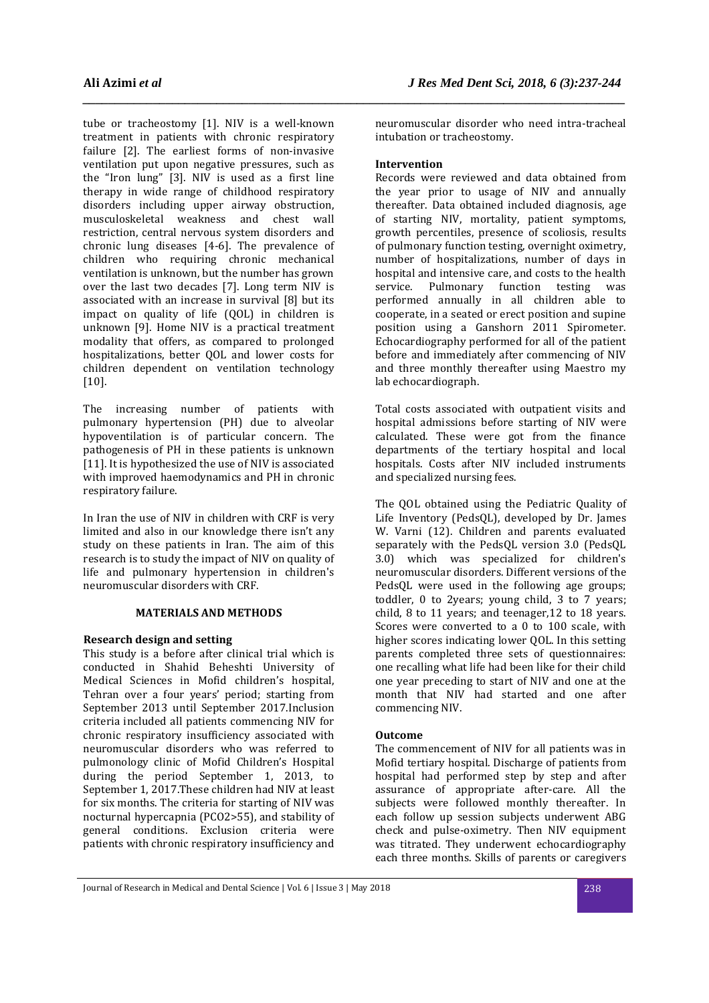tube or tracheostomy [1]. NIV is a well-known treatment in patients with chronic respiratory failure [2]. The earliest forms of non-invasive ventilation put upon negative pressures, such as the "Iron lung" [3]. NIV is used as a first line therapy in wide range of childhood respiratory disorders including upper airway obstruction, musculoskeletal weakness and chest wall restriction, central nervous system disorders and chronic lung diseases [4-6]. The prevalence of children who requiring chronic mechanical ventilation is unknown, but the number has grown over the last two decades [7]. Long term NIV is associated with an increase in survival [8] but its impact on quality of life (QOL) in children is unknown [9]. Home NIV is a practical treatment modality that offers, as compared to prolonged hospitalizations, better QOL and lower costs for children dependent on ventilation technology [10].

The increasing number of patients with pulmonary hypertension (PH) due to alveolar hypoventilation is of particular concern. The pathogenesis of PH in these patients is unknown [11]. It is hypothesized the use of NIV is associated with improved haemodynamics and PH in chronic respiratory failure.

In Iran the use of NIV in children with CRF is very limited and also in our knowledge there isn't any study on these patients in Iran. The aim of this research is to study the impact of NIV on quality of life and pulmonary hypertension in children's neuromuscular disorders with CRF.

### **MATERIALS AND METHODS**

### **Research design and setting**

This study is a before after clinical trial which is conducted in Shahid Beheshti University of Medical Sciences in Mofid children's hospital, Tehran over a four years' period; starting from September 2013 until September 2017.Inclusion criteria included all patients commencing NIV for chronic respiratory insufficiency associated with neuromuscular disorders who was referred to pulmonology clinic of Mofid Children's Hospital during the period September 1, 2013, to September 1, 2017.These children had NIV at least for six months. The criteria for starting of NIV was nocturnal hypercapnia (PCO2>55), and stability of general conditions. Exclusion criteria were patients with chronic respiratory insufficiency and

neuromuscular disorder who need intra-tracheal intubation or tracheostomy.

### **Intervention**

*\_\_\_\_\_\_\_\_\_\_\_\_\_\_\_\_\_\_\_\_\_\_\_\_\_\_\_\_\_\_\_\_\_\_\_\_\_\_\_\_\_\_\_\_\_\_\_\_\_\_\_\_\_\_\_\_\_\_\_\_\_\_\_\_\_\_\_\_\_\_\_\_\_\_\_\_\_\_\_\_\_\_\_\_\_* 

Records were reviewed and data obtained from the year prior to usage of NIV and annually thereafter. Data obtained included diagnosis, age of starting NIV, mortality, patient symptoms, growth percentiles, presence of scoliosis, results of pulmonary function testing, overnight oximetry, number of hospitalizations, number of days in hospital and intensive care, and costs to the health service. Pulmonary function testing was performed annually in all children able to cooperate, in a seated or erect position and supine position using a Ganshorn 2011 Spirometer. Echocardiography performed for all of the patient before and immediately after commencing of NIV and three monthly thereafter using Maestro my lab echocardiograph.

Total costs associated with outpatient visits and hospital admissions before starting of NIV were calculated. These were got from the finance departments of the tertiary hospital and local hospitals. Costs after NIV included instruments and specialized nursing fees.

The QOL obtained using the Pediatric Quality of Life Inventory (PedsQL), developed by Dr. James W. Varni (12). Children and parents evaluated separately with the PedsQL version 3.0 (PedsQL 3.0) which was specialized for children's neuromuscular disorders. Different versions of the PedsQL were used in the following age groups; toddler, 0 to 2years; young child, 3 to 7 years; child, 8 to 11 years; and teenager,12 to 18 years. Scores were converted to a 0 to 100 scale, with higher scores indicating lower QOL. In this setting parents completed three sets of questionnaires: one recalling what life had been like for their child one year preceding to start of NIV and one at the month that NIV had started and one after commencing NIV.

### **Outcome**

The commencement of NIV for all patients was in Mofid tertiary hospital. Discharge of patients from hospital had performed step by step and after assurance of appropriate after-care. All the subjects were followed monthly thereafter. In each follow up session subjects underwent ABG check and pulse-oximetry. Then NIV equipment was titrated. They underwent echocardiography each three months. Skills of parents or caregivers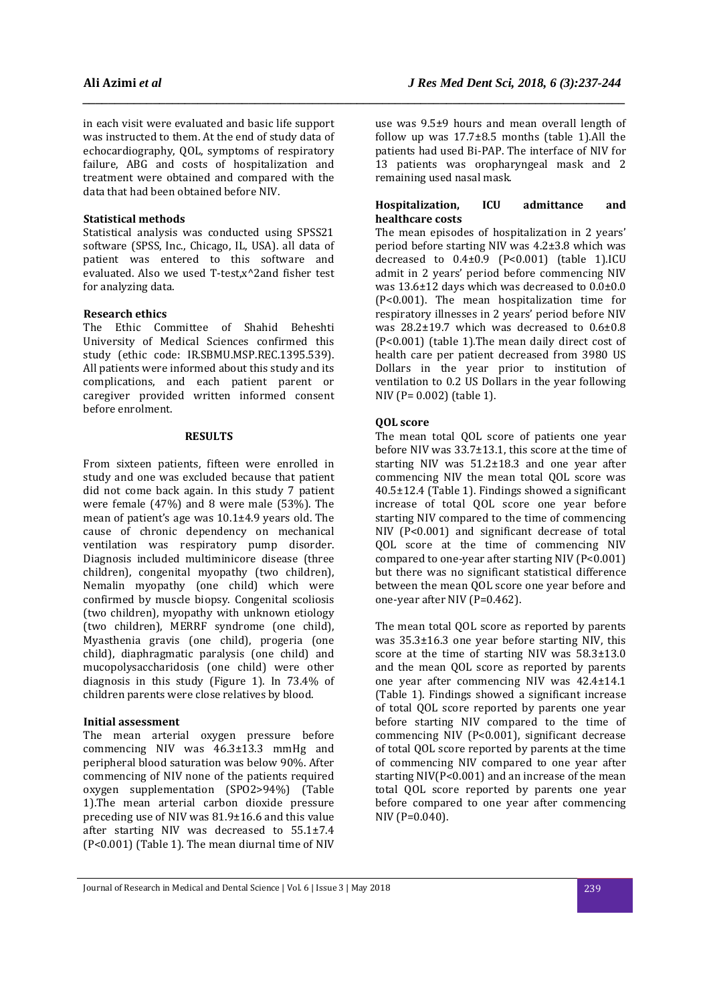in each visit were evaluated and basic life support was instructed to them. At the end of study data of echocardiography, QOL, symptoms of respiratory failure, ABG and costs of hospitalization and treatment were obtained and compared with the data that had been obtained before NIV.

### **Statistical methods**

Statistical analysis was conducted using SPSS21 software (SPSS, Inc., Chicago, IL, USA). all data of patient was entered to this software and evaluated. Also we used T-test,x^2and fisher test for analyzing data.

### **Research ethics**

The Ethic Committee of Shahid Beheshti University of Medical Sciences confirmed this study (ethic code: IR.SBMU.MSP.REC.1395.539). All patients were informed about this study and its complications, and each patient parent or caregiver provided written informed consent before enrolment.

### **RESULTS**

From sixteen patients, fifteen were enrolled in study and one was excluded because that patient did not come back again. In this study 7 patient were female (47%) and 8 were male (53%). The mean of patient's age was 10.1±4.9 years old. The cause of chronic dependency on mechanical ventilation was respiratory pump disorder. Diagnosis included multiminicore disease (three children), congenital myopathy (two children), Nemalin myopathy (one child) which were confirmed by muscle biopsy. Congenital scoliosis (two children), myopathy with unknown etiology (two children), MERRF syndrome (one child), Myasthenia gravis (one child), progeria (one child), diaphragmatic paralysis (one child) and mucopolysaccharidosis (one child) were other diagnosis in this study (Figure 1). In 73.4% of children parents were close relatives by blood.

### **Initial assessment**

The mean arterial oxygen pressure before commencing NIV was 46.3±13.3 mmHg and peripheral blood saturation was below 90%. After commencing of NIV none of the patients required oxygen supplementation (SPO2>94%) (Table 1).The mean arterial carbon dioxide pressure preceding use of NIV was 81.9±16.6 and this value after starting NIV was decreased to 55.1±7.4 (P<0.001) (Table 1). The mean diurnal time of NIV

use was 9.5±9 hours and mean overall length of follow up was  $17.7\pm8.5$  months (table 1). All the patients had used Bi-PAP. The interface of NIV for 13 patients was oropharyngeal mask and 2 remaining used nasal mask.

### **Hospitalization, ICU admittance and healthcare costs**

The mean episodes of hospitalization in 2 years' period before starting NIV was 4.2±3.8 which was decreased to  $0.4\pm0.9$  (P<0.001) (table 1).ICU admit in 2 years' period before commencing NIV was 13.6±12 days which was decreased to 0.0±0.0 (P<0.001). The mean hospitalization time for respiratory illnesses in 2 years' period before NIV was 28.2±19.7 which was decreased to 0.6±0.8 (P<0.001) (table 1).The mean daily direct cost of health care per patient decreased from 3980 US Dollars in the year prior to institution of ventilation to 0.2 US Dollars in the year following NIV (P= 0.002) (table 1).

### **QOL score**

*\_\_\_\_\_\_\_\_\_\_\_\_\_\_\_\_\_\_\_\_\_\_\_\_\_\_\_\_\_\_\_\_\_\_\_\_\_\_\_\_\_\_\_\_\_\_\_\_\_\_\_\_\_\_\_\_\_\_\_\_\_\_\_\_\_\_\_\_\_\_\_\_\_\_\_\_\_\_\_\_\_\_\_\_\_* 

The mean total QOL score of patients one year before NIV was 33.7±13.1, this score at the time of starting NIV was 51.2±18.3 and one year after commencing NIV the mean total QOL score was 40.5±12.4 (Table 1). Findings showed a significant increase of total QOL score one year before starting NIV compared to the time of commencing NIV (P<0.001) and significant decrease of total QOL score at the time of commencing NIV compared to one-year after starting NIV (P<0.001) but there was no significant statistical difference between the mean QOL score one year before and one-year after NIV (P=0.462).

The mean total QOL score as reported by parents was 35.3±16.3 one year before starting NIV, this score at the time of starting NIV was 58.3±13.0 and the mean QOL score as reported by parents one year after commencing NIV was 42.4±14.1 (Table 1). Findings showed a significant increase of total QOL score reported by parents one year before starting NIV compared to the time of commencing NIV (P<0.001), significant decrease of total QOL score reported by parents at the time of commencing NIV compared to one year after starting NIV(P<0.001) and an increase of the mean total QOL score reported by parents one year before compared to one year after commencing NIV (P=0.040).

Journal of Research in Medical and Dental Science | Vol. 6 | Issue 3 | May 2018 239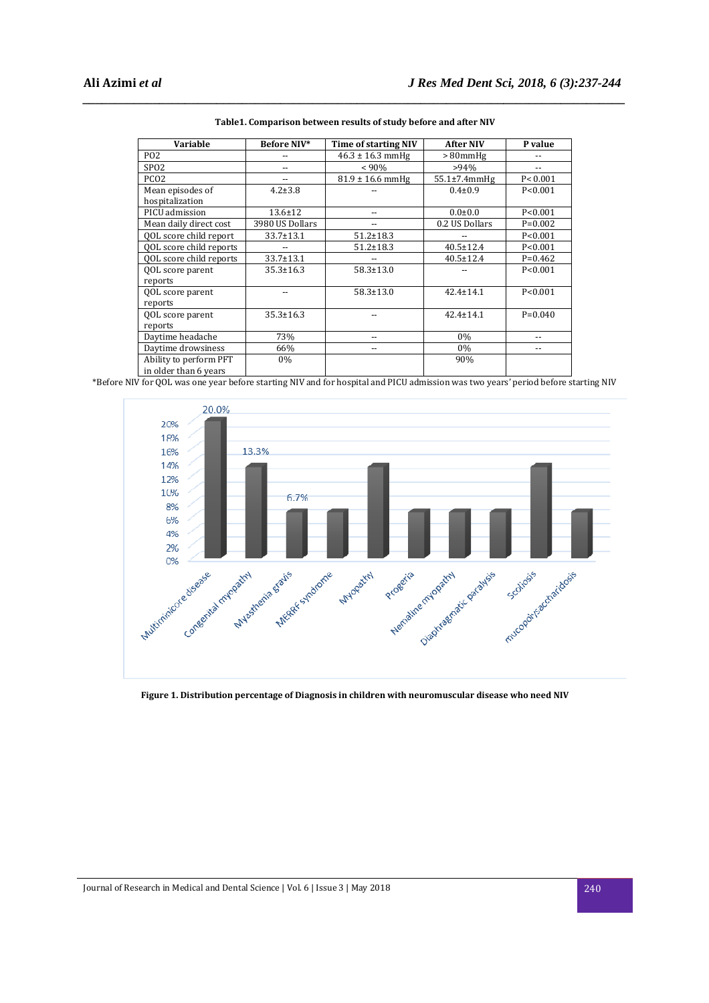| Variable                      | Before NIV*     | Time of starting NIV | <b>After NIV</b>    | P value           |
|-------------------------------|-----------------|----------------------|---------------------|-------------------|
| <b>PO2</b>                    | --              | $46.3 \pm 16.3$ mmHg | $>80$ mm $Hg$       |                   |
| SP <sub>02</sub>              |                 | $< 90\%$             | >94%                |                   |
| PCO <sub>2</sub>              |                 | $81.9 \pm 16.6$ mmHg | $55.1 \pm 7.4$ mmHg | P < 0.001         |
| Mean episodes of              | $4.2 \pm 3.8$   |                      | $0.4 \pm 0.9$       | P < 0.001         |
| hospitalization               |                 |                      |                     |                   |
| PICU admission                | $13.6 \pm 12$   | --                   | $0.0 + 0.0$         | P < 0.001         |
| Mean daily direct cost        | 3980 US Dollars |                      | 0.2 US Dollars      | $P=0.002$         |
| <b>OOL</b> score child report | 33.7±13.1       | $51.2 \pm 18.3$      |                     | P < 0.001         |
| QOL score child reports       |                 | $51.2 \pm 18.3$      | $40.5 \pm 12.4$     | P < 0.001         |
| QOL score child reports       | 33.7±13.1       | --                   | $40.5 \pm 12.4$     | $P=0.462$         |
| QOL score parent              | $35.3 \pm 16.3$ | $58.3 \pm 13.0$      |                     | P < 0.001         |
| reports                       |                 |                      |                     |                   |
| QOL score parent              |                 | $58.3 \pm 13.0$      | $42.4 \pm 14.1$     | P < 0.001         |
| reports                       |                 |                      |                     |                   |
| <b>QOL</b> score parent       | $35.3 \pm 16.3$ |                      | $42.4 \pm 14.1$     | $P=0.040$         |
| reports                       |                 |                      |                     |                   |
| Daytime headache              | 73%             | --                   | $0\%$               |                   |
| Daytime drowsiness            | 66%             | $\qquad \qquad -$    | 0%                  | $\qquad \qquad -$ |
| Ability to perform PFT        | $0\%$           |                      | 90%                 |                   |
| in older than 6 years         |                 |                      |                     |                   |

| Table1. Comparison between results of study before and after NIV |
|------------------------------------------------------------------|
|------------------------------------------------------------------|

*\_\_\_\_\_\_\_\_\_\_\_\_\_\_\_\_\_\_\_\_\_\_\_\_\_\_\_\_\_\_\_\_\_\_\_\_\_\_\_\_\_\_\_\_\_\_\_\_\_\_\_\_\_\_\_\_\_\_\_\_\_\_\_\_\_\_\_\_\_\_\_\_\_\_\_\_\_\_\_\_\_\_\_\_\_* 

\*Before NIV for QOL was one year before starting NIV and for hospital and PICU admission was two years' period before starting NIV



**Figure 1. Distribution percentage of Diagnosis in children with neuromuscular disease who need NIV**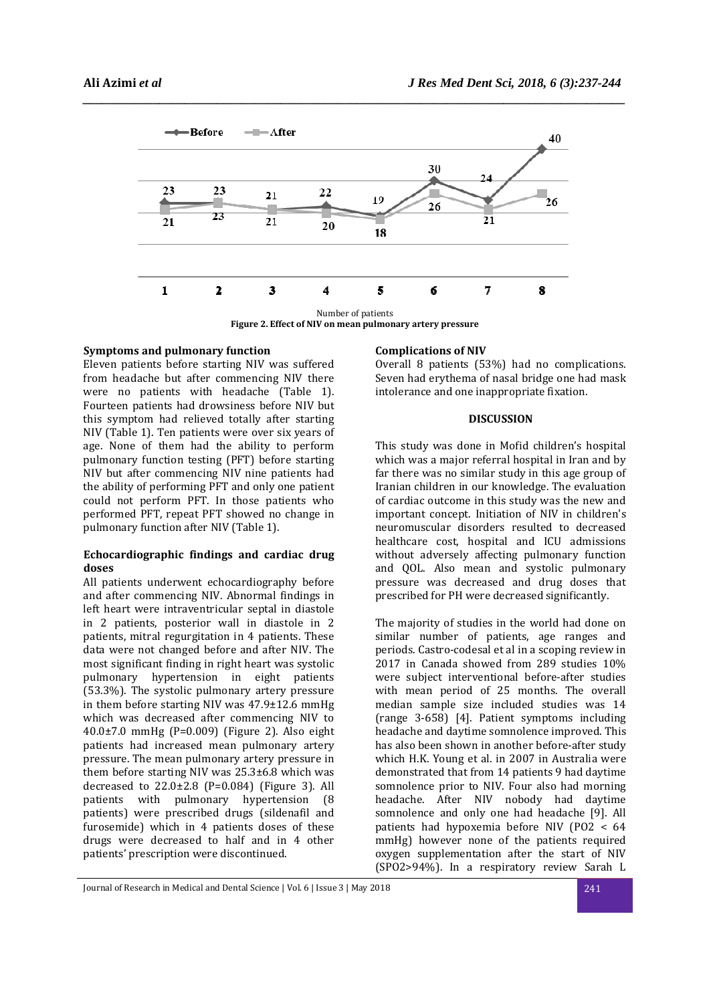

*\_\_\_\_\_\_\_\_\_\_\_\_\_\_\_\_\_\_\_\_\_\_\_\_\_\_\_\_\_\_\_\_\_\_\_\_\_\_\_\_\_\_\_\_\_\_\_\_\_\_\_\_\_\_\_\_\_\_\_\_\_\_\_\_\_\_\_\_\_\_\_\_\_\_\_\_\_\_\_\_\_\_\_\_\_* 

### **Figure 2. Effect of NIV on mean pulmonary artery pressure**

### **Symptoms and pulmonary function**

Eleven patients before starting NIV was suffered from headache but after commencing NIV there were no patients with headache (Table 1). Fourteen patients had drowsiness before NIV but this symptom had relieved totally after starting NIV (Table 1). Ten patients were over six years of age. None of them had the ability to perform pulmonary function testing (PFT) before starting NIV but after commencing NIV nine patients had the ability of performing PFT and only one patient could not perform PFT. In those patients who performed PFT, repeat PFT showed no change in pulmonary function after NIV (Table 1).

#### **Echocardiographic findings and cardiac drug doses**

All patients underwent echocardiography before and after commencing NIV. Abnormal findings in left heart were intraventricular septal in diastole in 2 patients, posterior wall in diastole in 2 patients, mitral regurgitation in 4 patients. These data were not changed before and after NIV. The most significant finding in right heart was systolic pulmonary hypertension in eight patients (53.3%). The systolic pulmonary artery pressure in them before starting NIV was 47.9±12.6 mmHg which was decreased after commencing NIV to 40.0±7.0 mmHg (P=0.009) (Figure 2). Also eight patients had increased mean pulmonary artery pressure. The mean pulmonary artery pressure in them before starting NIV was 25.3±6.8 which was decreased to  $22.0 \pm 2.8$  (P=0.084) (Figure 3). All patients with pulmonary hypertension (8 patients) were prescribed drugs (sildenafil and furosemide) which in 4 patients doses of these drugs were decreased to half and in 4 other patients' prescription were discontinued.

### **Complications of NIV**

Overall 8 patients (53%) had no complications. Seven had erythema of nasal bridge one had mask intolerance and one inappropriate fixation.

### **DISCUSSION**

This study was done in Mofid children's hospital which was a major referral hospital in Iran and by far there was no similar study in this age group of Iranian children in our knowledge. The evaluation of cardiac outcome in this study was the new and important concept. Initiation of NIV in children's neuromuscular disorders resulted to decreased healthcare cost, hospital and ICU admissions without adversely affecting pulmonary function and QOL. Also mean and systolic pulmonary pressure was decreased and drug doses that prescribed for PH were decreased significantly.

The majority of studies in the world had done on similar number of patients, age ranges and periods. Castro-codesal et al in a scoping review in 2017 in Canada showed from 289 studies 10% were subject interventional before-after studies with mean period of 25 months. The overall median sample size included studies was 14 (range 3-658) [4]. Patient symptoms including headache and daytime somnolence improved. This has also been shown in another before-after study which H.K. Young et al. in 2007 in Australia were demonstrated that from 14 patients 9 had daytime somnolence prior to NIV. Four also had morning headache. After NIV nobody had daytime somnolence and only one had headache [9]. All patients had hypoxemia before NIV (PO2 < 64 mmHg) however none of the patients required oxygen supplementation after the start of NIV (SPO2>94%). In a respiratory review Sarah L

Journal of Research in Medical and Dental Science | Vol. 6 | Issue 3 | May 2018 241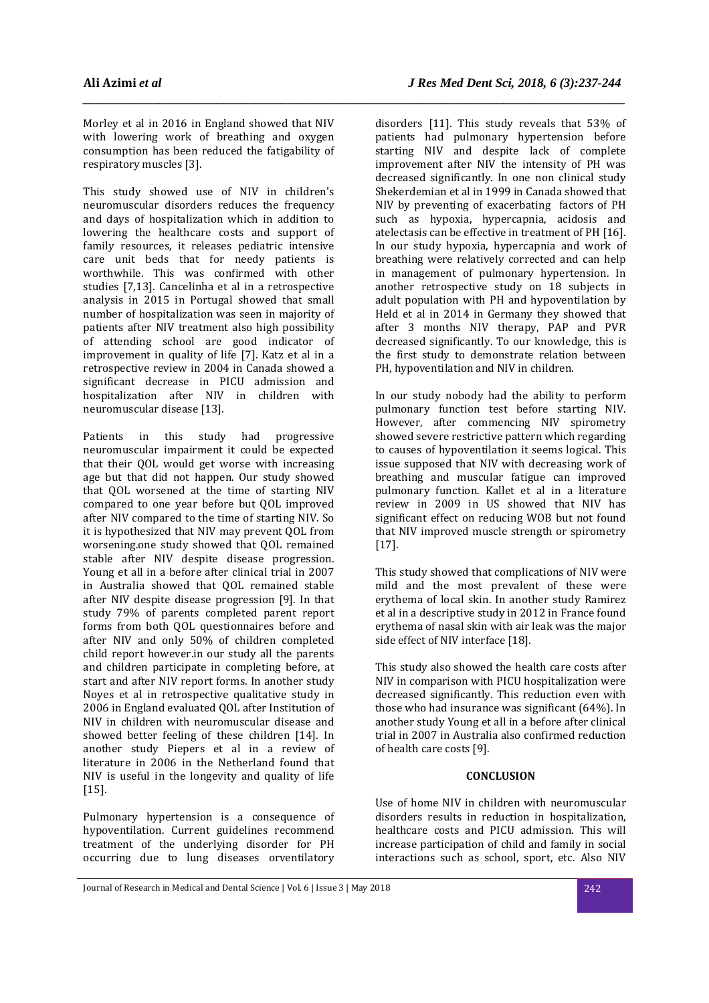Morley et al in 2016 in England showed that NIV with lowering work of breathing and oxygen consumption has been reduced the fatigability of respiratory muscles [3].

*\_\_\_\_\_\_\_\_\_\_\_\_\_\_\_\_\_\_\_\_\_\_\_\_\_\_\_\_\_\_\_\_\_\_\_\_\_\_\_\_\_\_\_\_\_\_\_\_\_\_\_\_\_\_\_\_\_\_\_\_\_\_\_\_\_\_\_\_\_\_\_\_\_\_\_\_\_\_\_\_\_\_\_\_\_* 

This study showed use of NIV in children's neuromuscular disorders reduces the frequency and days of hospitalization which in addition to lowering the healthcare costs and support of family resources, it releases pediatric intensive care unit beds that for needy patients is worthwhile. This was confirmed with other studies [7,13]. Cancelinha et al in a retrospective analysis in 2015 in Portugal showed that small number of hospitalization was seen in majority of patients after NIV treatment also high possibility of attending school are good indicator of improvement in quality of life [7]. Katz et al in a retrospective review in 2004 in Canada showed a significant decrease in PICU admission and hospitalization after NIV in children with neuromuscular disease [13].

Patients in this study had progressive neuromuscular impairment it could be expected that their QOL would get worse with increasing age but that did not happen. Our study showed that QOL worsened at the time of starting NIV compared to one year before but QOL improved after NIV compared to the time of starting NIV. So it is hypothesized that NIV may prevent QOL from worsening.one study showed that QOL remained stable after NIV despite disease progression. Young et all in a before after clinical trial in 2007 in Australia showed that QOL remained stable after NIV despite disease progression [9]. In that study 79% of parents completed parent report forms from both QOL questionnaires before and after NIV and only 50% of children completed child report however.in our study all the parents and children participate in completing before, at start and after NIV report forms. In another study Noyes et al in retrospective qualitative study in 2006 in England evaluated QOL after Institution of NIV in children with neuromuscular disease and showed better feeling of these children [14]. In another study Piepers et al in a review of literature in 2006 in the Netherland found that NIV is useful in the longevity and quality of life [15].

Pulmonary hypertension is a consequence of hypoventilation. Current guidelines recommend treatment of the underlying disorder for PH occurring due to lung diseases orventilatory

disorders [11]. This study reveals that 53% of patients had pulmonary hypertension before starting NIV and despite lack of complete improvement after NIV the intensity of PH was decreased significantly. In one non clinical study Shekerdemian et al in 1999 in Canada showed that NIV by preventing of exacerbating factors of PH such as hypoxia, hypercapnia, acidosis and atelectasis can be effective in treatment of PH [16]. In our study hypoxia, hypercapnia and work of breathing were relatively corrected and can help in management of pulmonary hypertension. In another retrospective study on 18 subjects in adult population with PH and hypoventilation by Held et al in 2014 in Germany they showed that after 3 months NIV therapy, PAP and PVR decreased significantly. To our knowledge, this is the first study to demonstrate relation between PH, hypoventilation and NIV in children.

In our study nobody had the ability to perform pulmonary function test before starting NIV. However, after commencing NIV spirometry showed severe restrictive pattern which regarding to causes of hypoventilation it seems logical. This issue supposed that NIV with decreasing work of breathing and muscular fatigue can improved pulmonary function. Kallet et al in a literature review in 2009 in US showed that NIV has significant effect on reducing WOB but not found that NIV improved muscle strength or spirometry [17].

This study showed that complications of NIV were mild and the most prevalent of these were erythema of local skin. In another study Ramirez et al in a descriptive study in 2012 in France found erythema of nasal skin with air leak was the major side effect of NIV interface [18].

This study also showed the health care costs after NIV in comparison with PICU hospitalization were decreased significantly. This reduction even with those who had insurance was significant (64%). In another study Young et all in a before after clinical trial in 2007 in Australia also confirmed reduction of health care costs [9].

### **CONCLUSION**

Use of home NIV in children with neuromuscular disorders results in reduction in hospitalization, healthcare costs and PICU admission. This will increase participation of child and family in social interactions such as school, sport, etc. Also NIV

Journal of Research in Medical and Dental Science | Vol. 6 | Issue 3 | May 2018 242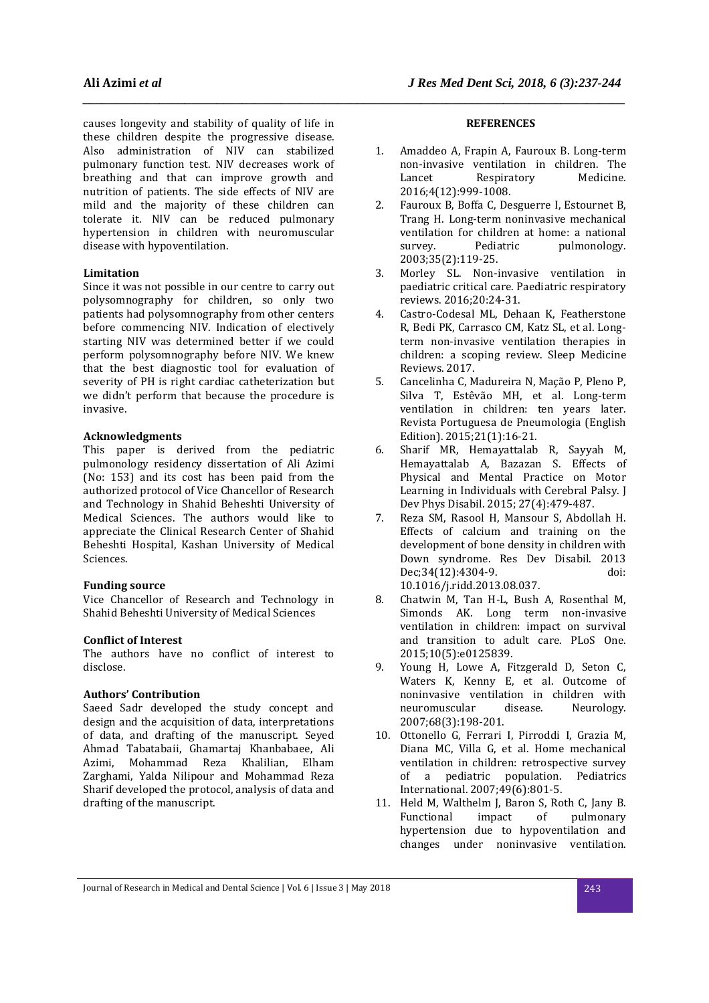causes longevity and stability of quality of life in these children despite the progressive disease. Also administration of NIV can stabilized pulmonary function test. NIV decreases work of breathing and that can improve growth and nutrition of patients. The side effects of NIV are mild and the majority of these children can tolerate it. NIV can be reduced pulmonary hypertension in children with neuromuscular disease with hypoventilation.

### **Limitation**

Since it was not possible in our centre to carry out polysomnography for children, so only two patients had polysomnography from other centers before commencing NIV. Indication of electively starting NIV was determined better if we could perform polysomnography before NIV. We knew that the best diagnostic tool for evaluation of severity of PH is right cardiac catheterization but we didn't perform that because the procedure is invasive.

#### **Acknowledgments**

This paper is derived from the pediatric pulmonology residency dissertation of Ali Azimi (No: 153) and its cost has been paid from the authorized protocol of Vice Chancellor of Research and Technology in Shahid Beheshti University of Medical Sciences. The authors would like to appreciate the Clinical Research Center of Shahid Beheshti Hospital, Kashan University of Medical Sciences.

### **Funding source**

Vice Chancellor of Research and Technology in Shahid Beheshti University of Medical Sciences

#### **Conflict of Interest**

The authors have no conflict of interest to disclose.

### **Authors' Contribution**

Saeed Sadr developed the study concept and design and the acquisition of data, interpretations of data, and drafting of the manuscript. Seyed Ahmad Tabatabaii, Ghamartaj Khanbabaee, Ali Azimi, Mohammad Reza Khalilian, Elham Zarghami, Yalda Nilipour and Mohammad Reza Sharif developed the protocol, analysis of data and drafting of the manuscript.

### **REFERENCES**

*\_\_\_\_\_\_\_\_\_\_\_\_\_\_\_\_\_\_\_\_\_\_\_\_\_\_\_\_\_\_\_\_\_\_\_\_\_\_\_\_\_\_\_\_\_\_\_\_\_\_\_\_\_\_\_\_\_\_\_\_\_\_\_\_\_\_\_\_\_\_\_\_\_\_\_\_\_\_\_\_\_\_\_\_\_* 

- 1. Amaddeo A, Frapin A, Fauroux B. Long-term non-invasive ventilation in children. The Lancet Respiratory Medicine. 2016;4(12):999-1008.
- 2. Fauroux B, Boffa C, Desguerre I, Estournet B, Trang H. Long-term noninvasive mechanical ventilation for children at home: a national survey. Pediatric pulmonology. 2003;35(2):119-25.
- 3. Morley SL. Non-invasive ventilation in paediatric critical care. Paediatric respiratory reviews. 2016;20:24-31.
- 4. Castro-Codesal ML, Dehaan K, Featherstone R, Bedi PK, Carrasco CM, Katz SL, et al. Longterm non-invasive ventilation therapies in children: a scoping review. Sleep Medicine Reviews. 2017.
- 5. Cancelinha C, Madureira N, Mação P, Pleno P, Silva T, Estêvão MH, et al. Long-term ventilation in children: ten years later. Revista Portuguesa de Pneumologia (English Edition). 2015;21(1):16-21.
- 6. Sharif MR, Hemayattalab R, Sayyah M, Hemayattalab A, Bazazan S. Effects of Physical and Mental Practice on Motor Learning in Individuals with Cerebral Palsy. J Dev Phys Disabil. 2015; 27(4):479-487.
- 7. Reza SM, Rasool H, Mansour S, Abdollah H. Effects of calcium and training on the development of bone density in children with Down syndrome. Res Dev Disabil. 2013 Dec;34(12):4304-9. doi: 10.1016/j.ridd.2013.08.037.
- 8. Chatwin M, Tan H-L, Bush A, Rosenthal M, Simonds AK. Long term non-invasive ventilation in children: impact on survival and transition to adult care. PLoS One. 2015;10(5):e0125839.
- 9. Young H, Lowe A, Fitzgerald D, Seton C, Waters K, Kenny E, et al. Outcome of noninvasive ventilation in children with neuromuscular disease. Neurology. 2007;68(3):198-201.
- 10. Ottonello G, Ferrari I, Pirroddi I, Grazia M, Diana MC, Villa G, et al. Home mechanical ventilation in children: retrospective survey of a pediatric population. Pediatrics International. 2007;49(6):801-5.
- 11. Held M, Walthelm J, Baron S, Roth C, Jany B. Functional impact of pulmonary hypertension due to hypoventilation and changes under noninvasive ventilation.